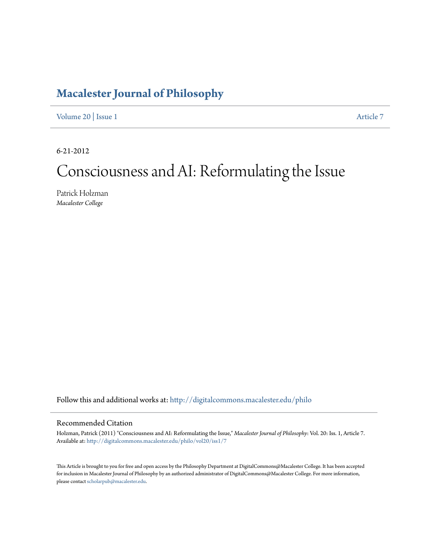# **[Macalester Journal of Philosophy](http://digitalcommons.macalester.edu/philo?utm_source=digitalcommons.macalester.edu%2Fphilo%2Fvol20%2Fiss1%2F7&utm_medium=PDF&utm_campaign=PDFCoverPages)**

[Volume 20](http://digitalcommons.macalester.edu/philo/vol20?utm_source=digitalcommons.macalester.edu%2Fphilo%2Fvol20%2Fiss1%2F7&utm_medium=PDF&utm_campaign=PDFCoverPages) | [Issue 1](http://digitalcommons.macalester.edu/philo/vol20/iss1?utm_source=digitalcommons.macalester.edu%2Fphilo%2Fvol20%2Fiss1%2F7&utm_medium=PDF&utm_campaign=PDFCoverPages) [Article 7](http://digitalcommons.macalester.edu/philo/vol20/iss1/7?utm_source=digitalcommons.macalester.edu%2Fphilo%2Fvol20%2Fiss1%2F7&utm_medium=PDF&utm_campaign=PDFCoverPages)

6-21-2012

# Consciousness and AI: Reformulating the Issue

Patrick Holzman *Macalester College*

Follow this and additional works at: [http://digitalcommons.macalester.edu/philo](http://digitalcommons.macalester.edu/philo?utm_source=digitalcommons.macalester.edu%2Fphilo%2Fvol20%2Fiss1%2F7&utm_medium=PDF&utm_campaign=PDFCoverPages)

#### Recommended Citation

Holzman, Patrick (2011) "Consciousness and AI: Reformulating the Issue," *Macalester Journal of Philosophy*: Vol. 20: Iss. 1, Article 7. Available at: [http://digitalcommons.macalester.edu/philo/vol20/iss1/7](http://digitalcommons.macalester.edu/philo/vol20/iss1/7?utm_source=digitalcommons.macalester.edu%2Fphilo%2Fvol20%2Fiss1%2F7&utm_medium=PDF&utm_campaign=PDFCoverPages)

This Article is brought to you for free and open access by the Philosophy Department at DigitalCommons@Macalester College. It has been accepted for inclusion in Macalester Journal of Philosophy by an authorized administrator of DigitalCommons@Macalester College. For more information, please contact [scholarpub@macalester.edu.](mailto:scholarpub@macalester.edu)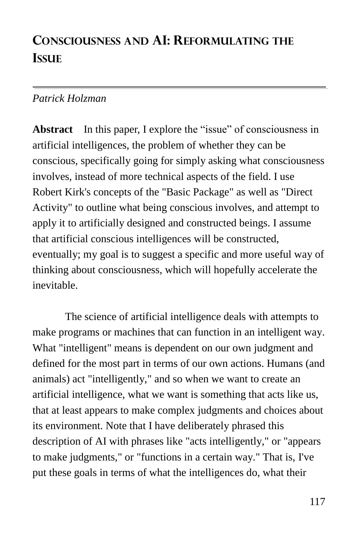# **CONSCIOUSNESS AND AI: REFORMULATING THE ISSUE**

# *Patrick Holzman*

**Abstract** In this paper, I explore the "issue" of consciousness in artificial intelligences, the problem of whether they can be conscious, specifically going for simply asking what consciousness involves, instead of more technical aspects of the field. I use Robert Kirk's concepts of the "Basic Package" as well as "Direct Activity" to outline what being conscious involves, and attempt to apply it to artificially designed and constructed beings. I assume that artificial conscious intelligences will be constructed, eventually; my goal is to suggest a specific and more useful way of thinking about consciousness, which will hopefully accelerate the inevitable.

The science of artificial intelligence deals with attempts to make programs or machines that can function in an intelligent way. What "intelligent" means is dependent on our own judgment and defined for the most part in terms of our own actions. Humans (and animals) act "intelligently," and so when we want to create an artificial intelligence, what we want is something that acts like us, that at least appears to make complex judgments and choices about its environment. Note that I have deliberately phrased this description of AI with phrases like "acts intelligently," or "appears to make judgments," or "functions in a certain way." That is, I've put these goals in terms of what the intelligences do, what their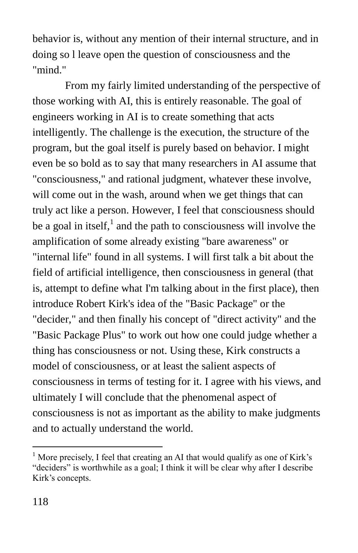behavior is, without any mention of their internal structure, and in doing so l leave open the question of consciousness and the "mind."

From my fairly limited understanding of the perspective of those working with AI, this is entirely reasonable. The goal of engineers working in AI is to create something that acts intelligently. The challenge is the execution, the structure of the program, but the goal itself is purely based on behavior. I might even be so bold as to say that many researchers in AI assume that "consciousness," and rational judgment, whatever these involve, will come out in the wash, around when we get things that can truly act like a person. However, I feel that consciousness should be a goal in itself,<sup>1</sup> and the path to consciousness will involve the amplification of some already existing "bare awareness" or "internal life" found in all systems. I will first talk a bit about the field of artificial intelligence, then consciousness in general (that is, attempt to define what I'm talking about in the first place), then introduce Robert Kirk's idea of the "Basic Package" or the "decider," and then finally his concept of "direct activity" and the "Basic Package Plus" to work out how one could judge whether a thing has consciousness or not. Using these, Kirk constructs a model of consciousness, or at least the salient aspects of consciousness in terms of testing for it. I agree with his views, and ultimately I will conclude that the phenomenal aspect of consciousness is not as important as the ability to make judgments and to actually understand the world.

<sup>&</sup>lt;sup>1</sup> More precisely, I feel that creating an AI that would qualify as one of Kirk's "deciders" is worthwhile as a goal; I think it will be clear why after I describe Kirk's concepts.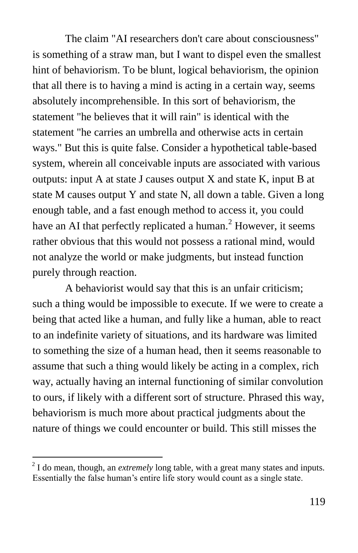The claim "AI researchers don't care about consciousness" is something of a straw man, but I want to dispel even the smallest hint of behaviorism. To be blunt, logical behaviorism, the opinion that all there is to having a mind is acting in a certain way, seems absolutely incomprehensible. In this sort of behaviorism, the statement "he believes that it will rain" is identical with the statement "he carries an umbrella and otherwise acts in certain ways." But this is quite false. Consider a hypothetical table-based system, wherein all conceivable inputs are associated with various outputs: input A at state J causes output X and state K, input B at state M causes output Y and state N, all down a table. Given a long enough table, and a fast enough method to access it, you could have an AI that perfectly replicated a human.<sup>2</sup> However, it seems rather obvious that this would not possess a rational mind, would not analyze the world or make judgments, but instead function purely through reaction.

A behaviorist would say that this is an unfair criticism; such a thing would be impossible to execute. If we were to create a being that acted like a human, and fully like a human, able to react to an indefinite variety of situations, and its hardware was limited to something the size of a human head, then it seems reasonable to assume that such a thing would likely be acting in a complex, rich way, actually having an internal functioning of similar convolution to ours, if likely with a different sort of structure. Phrased this way, behaviorism is much more about practical judgments about the nature of things we could encounter or build. This still misses the

<sup>&</sup>lt;sup>2</sup> I do mean, though, an *extremely* long table, with a great many states and inputs. Essentially the false human's entire life story would count as a single state.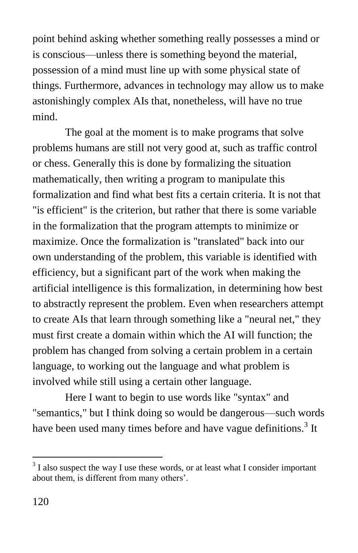point behind asking whether something really possesses a mind or is conscious—unless there is something beyond the material, possession of a mind must line up with some physical state of things. Furthermore, advances in technology may allow us to make astonishingly complex AIs that, nonetheless, will have no true mind.

The goal at the moment is to make programs that solve problems humans are still not very good at, such as traffic control or chess. Generally this is done by formalizing the situation mathematically, then writing a program to manipulate this formalization and find what best fits a certain criteria. It is not that "is efficient" is the criterion, but rather that there is some variable in the formalization that the program attempts to minimize or maximize. Once the formalization is "translated" back into our own understanding of the problem, this variable is identified with efficiency, but a significant part of the work when making the artificial intelligence is this formalization, in determining how best to abstractly represent the problem. Even when researchers attempt to create AIs that learn through something like a "neural net," they must first create a domain within which the AI will function; the problem has changed from solving a certain problem in a certain language, to working out the language and what problem is involved while still using a certain other language.

Here I want to begin to use words like "syntax" and "semantics," but I think doing so would be dangerous—such words have been used many times before and have vague definitions.<sup>3</sup> It

 $3<sup>3</sup>$  I also suspect the way I use these words, or at least what I consider important about them, is different from many others'.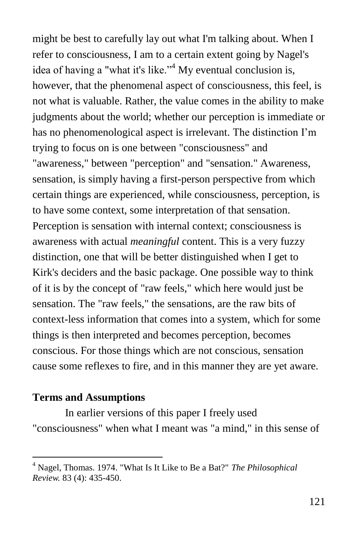might be best to carefully lay out what I'm talking about. When I refer to consciousness, I am to a certain extent going by Nagel's idea of having a "what it's like."<sup>4</sup> My eventual conclusion is, however, that the phenomenal aspect of consciousness, this feel, is not what is valuable. Rather, the value comes in the ability to make judgments about the world; whether our perception is immediate or has no phenomenological aspect is irrelevant. The distinction I'm trying to focus on is one between "consciousness" and "awareness," between "perception" and "sensation." Awareness, sensation, is simply having a first-person perspective from which certain things are experienced, while consciousness, perception, is to have some context, some interpretation of that sensation. Perception is sensation with internal context; consciousness is awareness with actual *meaningful* content. This is a very fuzzy distinction, one that will be better distinguished when I get to Kirk's deciders and the basic package. One possible way to think of it is by the concept of "raw feels," which here would just be sensation. The "raw feels," the sensations, are the raw bits of context-less information that comes into a system, which for some things is then interpreted and becomes perception, becomes conscious. For those things which are not conscious, sensation cause some reflexes to fire, and in this manner they are yet aware.

#### **Terms and Assumptions**

 $\overline{a}$ 

In earlier versions of this paper I freely used "consciousness" when what I meant was "a mind," in this sense of

<sup>4</sup> Nagel, Thomas. 1974. "What Is It Like to Be a Bat?" *The Philosophical Review.* 83 (4): 435-450.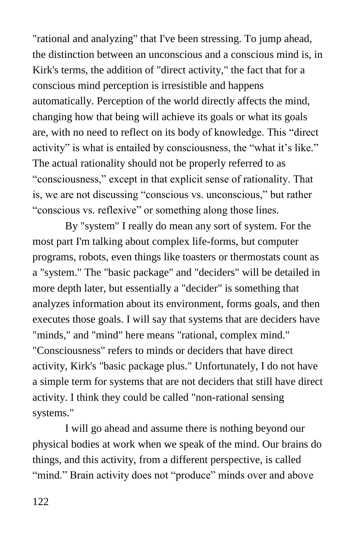"rational and analyzing" that I've been stressing. To jump ahead, the distinction between an unconscious and a conscious mind is, in Kirk's terms, the addition of "direct activity," the fact that for a conscious mind perception is irresistible and happens automatically. Perception of the world directly affects the mind, changing how that being will achieve its goals or what its goals are, with no need to reflect on its body of knowledge. This "direct" activity" is what is entailed by consciousness, the "what it's like." The actual rationality should not be properly referred to as ―consciousness,‖ except in that explicit sense of rationality. That is, we are not discussing "conscious vs. unconscious," but rather "conscious vs. reflexive" or something along those lines.

By "system" I really do mean any sort of system. For the most part I'm talking about complex life-forms, but computer programs, robots, even things like toasters or thermostats count as a "system." The "basic package" and "deciders" will be detailed in more depth later, but essentially a "decider" is something that analyzes information about its environment, forms goals, and then executes those goals. I will say that systems that are deciders have "minds," and "mind" here means "rational, complex mind." "Consciousness" refers to minds or deciders that have direct activity, Kirk's "basic package plus." Unfortunately, I do not have a simple term for systems that are not deciders that still have direct activity. I think they could be called "non-rational sensing systems."

I will go ahead and assume there is nothing beyond our physical bodies at work when we speak of the mind. Our brains do things, and this activity, from a different perspective, is called "mind." Brain activity does not "produce" minds over and above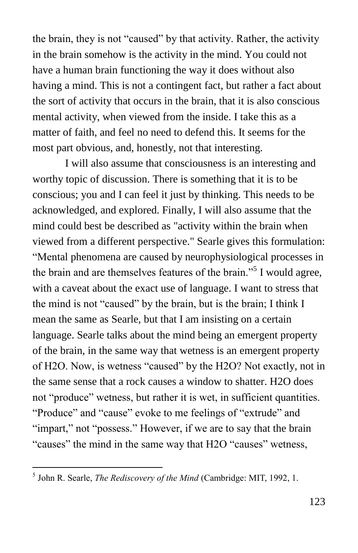the brain, they is not "caused" by that activity. Rather, the activity in the brain somehow is the activity in the mind. You could not have a human brain functioning the way it does without also having a mind. This is not a contingent fact, but rather a fact about the sort of activity that occurs in the brain, that it is also conscious mental activity, when viewed from the inside. I take this as a matter of faith, and feel no need to defend this. It seems for the most part obvious, and, honestly, not that interesting.

I will also assume that consciousness is an interesting and worthy topic of discussion. There is something that it is to be conscious; you and I can feel it just by thinking. This needs to be acknowledged, and explored. Finally, I will also assume that the mind could best be described as "activity within the brain when viewed from a different perspective." Searle gives this formulation: ―Mental phenomena are caused by neurophysiological processes in the brain and are themselves features of the brain."<sup>5</sup> I would agree, with a caveat about the exact use of language. I want to stress that the mind is not "caused" by the brain, but is the brain; I think I mean the same as Searle, but that I am insisting on a certain language. Searle talks about the mind being an emergent property of the brain, in the same way that wetness is an emergent property of H2O. Now, is wetness "caused" by the H2O? Not exactly, not in the same sense that a rock causes a window to shatter. H2O does not "produce" wetness, but rather it is wet, in sufficient quantities. "Produce" and "cause" evoke to me feelings of "extrude" and "impart," not "possess." However, if we are to say that the brain "causes" the mind in the same way that H2O "causes" wetness,

 5 John R. Searle, *The Rediscovery of the Mind* (Cambridge: MIT, 1992, 1.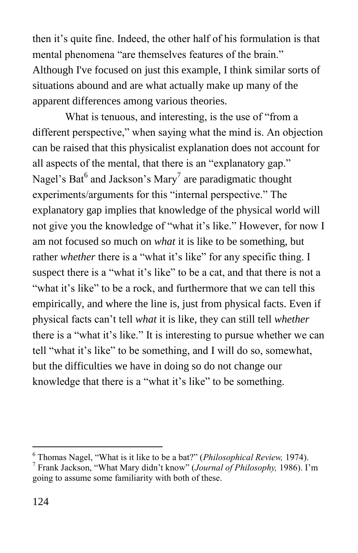then it's quite fine. Indeed, the other half of his formulation is that mental phenomena "are themselves features of the brain." Although I've focused on just this example, I think similar sorts of situations abound and are what actually make up many of the apparent differences among various theories.

What is tenuous, and interesting, is the use of "from a different perspective," when saying what the mind is. An objection can be raised that this physicalist explanation does not account for all aspects of the mental, that there is an "explanatory gap." Nagel's Bat<sup>6</sup> and Jackson's Mary<sup>7</sup> are paradigmatic thought experiments/arguments for this "internal perspective." The explanatory gap implies that knowledge of the physical world will not give you the knowledge of "what it's like." However, for now I am not focused so much on *what* it is like to be something, but rather *whether* there is a "what it's like" for any specific thing. I suspect there is a "what it's like" to be a cat, and that there is not a "what it's like" to be a rock, and furthermore that we can tell this empirically, and where the line is, just from physical facts. Even if physical facts can't tell *what* it is like, they can still tell *whether* there is a "what it's like." It is interesting to pursue whether we can tell "what it's like" to be something, and I will do so, somewhat, but the difficulties we have in doing so do not change our knowledge that there is a "what it's like" to be something.

<sup>6</sup> Thomas Nagel, "What is it like to be a bat?" (*Philosophical Review,* 1974).

<sup>7</sup> Frank Jackson, "What Mary didn't know" (*Journal of Philosophy,* 1986). I'm going to assume some familiarity with both of these.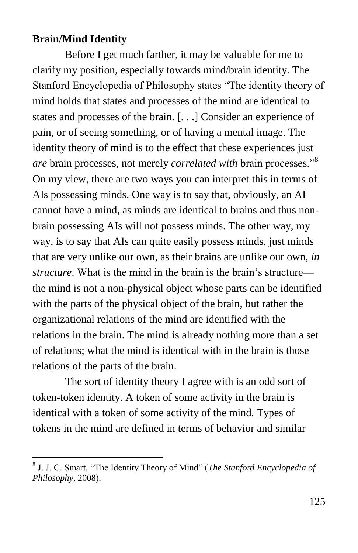#### **Brain/Mind Identity**

 $\overline{a}$ 

Before I get much farther, it may be valuable for me to clarify my position, especially towards mind/brain identity. The Stanford Encyclopedia of Philosophy states "The identity theory of mind holds that states and processes of the mind are identical to states and processes of the brain. [. . .] Consider an experience of pain, or of seeing something, or of having a mental image. The identity theory of mind is to the effect that these experiences just *are* brain processes, not merely *correlated with* brain processes."<sup>8</sup> On my view, there are two ways you can interpret this in terms of AIs possessing minds. One way is to say that, obviously, an AI cannot have a mind, as minds are identical to brains and thus nonbrain possessing AIs will not possess minds. The other way, my way, is to say that AIs can quite easily possess minds, just minds that are very unlike our own, as their brains are unlike our own, *in structure*. What is the mind in the brain is the brain's structure the mind is not a non-physical object whose parts can be identified with the parts of the physical object of the brain, but rather the organizational relations of the mind are identified with the relations in the brain. The mind is already nothing more than a set of relations; what the mind is identical with in the brain is those relations of the parts of the brain.

The sort of identity theory I agree with is an odd sort of token-token identity. A token of some activity in the brain is identical with a token of some activity of the mind. Types of tokens in the mind are defined in terms of behavior and similar

<sup>&</sup>lt;sup>8</sup> J. J. C. Smart, "The Identity Theory of Mind" (*The Stanford Encyclopedia of Philosophy*, 2008).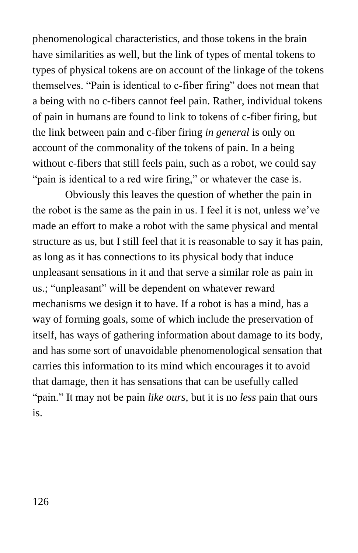phenomenological characteristics, and those tokens in the brain have similarities as well, but the link of types of mental tokens to types of physical tokens are on account of the linkage of the tokens themselves. "Pain is identical to c-fiber firing" does not mean that a being with no c-fibers cannot feel pain. Rather, individual tokens of pain in humans are found to link to tokens of c-fiber firing, but the link between pain and c-fiber firing *in general* is only on account of the commonality of the tokens of pain. In a being without c-fibers that still feels pain, such as a robot, we could say "pain is identical to a red wire firing," or whatever the case is.

Obviously this leaves the question of whether the pain in the robot is the same as the pain in us. I feel it is not, unless we've made an effort to make a robot with the same physical and mental structure as us, but I still feel that it is reasonable to say it has pain, as long as it has connections to its physical body that induce unpleasant sensations in it and that serve a similar role as pain in us.; "unpleasant" will be dependent on whatever reward mechanisms we design it to have. If a robot is has a mind, has a way of forming goals, some of which include the preservation of itself, has ways of gathering information about damage to its body, and has some sort of unavoidable phenomenological sensation that carries this information to its mind which encourages it to avoid that damage, then it has sensations that can be usefully called "pain." It may not be pain *like ours*, but it is no *less* pain that ours is.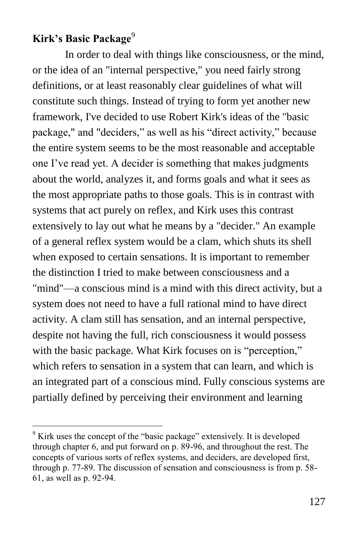# **Kirk's Basic Package**<sup>9</sup>

 $\overline{a}$ 

In order to deal with things like consciousness, or the mind, or the idea of an "internal perspective," you need fairly strong definitions, or at least reasonably clear guidelines of what will constitute such things. Instead of trying to form yet another new framework, I've decided to use Robert Kirk's ideas of the "basic package," and "deciders," as well as his "direct activity," because the entire system seems to be the most reasonable and acceptable one I've read yet. A decider is something that makes judgments about the world, analyzes it, and forms goals and what it sees as the most appropriate paths to those goals. This is in contrast with systems that act purely on reflex, and Kirk uses this contrast extensively to lay out what he means by a "decider." An example of a general reflex system would be a clam, which shuts its shell when exposed to certain sensations. It is important to remember the distinction I tried to make between consciousness and a "mind"—a conscious mind is a mind with this direct activity, but a system does not need to have a full rational mind to have direct activity. A clam still has sensation, and an internal perspective, despite not having the full, rich consciousness it would possess with the basic package. What Kirk focuses on is "perception," which refers to sensation in a system that can learn, and which is an integrated part of a conscious mind. Fully conscious systems are partially defined by perceiving their environment and learning

 $9$  Kirk uses the concept of the "basic package" extensively. It is developed through chapter 6, and put forward on p. 89-96, and throughout the rest. The concepts of various sorts of reflex systems, and deciders, are developed first, through p. 77-89. The discussion of sensation and consciousness is from p. 58- 61, as well as p. 92-94.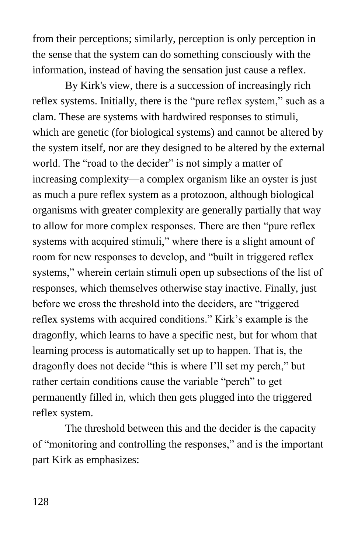from their perceptions; similarly, perception is only perception in the sense that the system can do something consciously with the information, instead of having the sensation just cause a reflex.

By Kirk's view, there is a succession of increasingly rich reflex systems. Initially, there is the "pure reflex system," such as a clam. These are systems with hardwired responses to stimuli, which are genetic (for biological systems) and cannot be altered by the system itself, nor are they designed to be altered by the external world. The "road to the decider" is not simply a matter of increasing complexity—a complex organism like an oyster is just as much a pure reflex system as a protozoon, although biological organisms with greater complexity are generally partially that way to allow for more complex responses. There are then "pure reflex" systems with acquired stimuli," where there is a slight amount of room for new responses to develop, and "built in triggered reflex systems," wherein certain stimuli open up subsections of the list of responses, which themselves otherwise stay inactive. Finally, just before we cross the threshold into the deciders, are "triggered" reflex systems with acquired conditions." Kirk's example is the dragonfly, which learns to have a specific nest, but for whom that learning process is automatically set up to happen. That is, the dragonfly does not decide "this is where I'll set my perch," but rather certain conditions cause the variable "perch" to get permanently filled in, which then gets plugged into the triggered reflex system.

The threshold between this and the decider is the capacity of "monitoring and controlling the responses," and is the important part Kirk as emphasizes: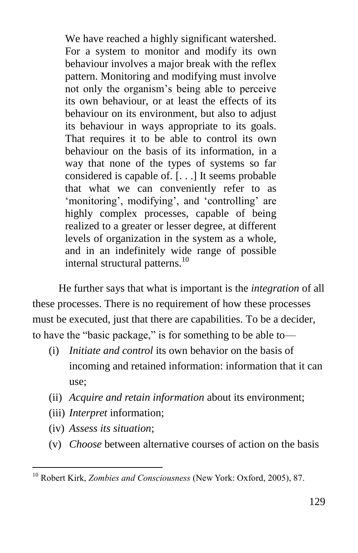We have reached a highly significant watershed. For a system to monitor and modify its own behaviour involves a major break with the reflex pattern. Monitoring and modifying must involve not only the organism's being able to perceive its own behaviour, or at least the effects of its behaviour on its environment, but also to adjust its behaviour in ways appropriate to its goals. That requires it to be able to control its own behaviour on the basis of its information, in a way that none of the types of systems so far considered is capable of. [. . .] It seems probable that what we can conveniently refer to as ‗monitoring', modifying', and ‗controlling' are highly complex processes, capable of being realized to a greater or lesser degree, at different levels of organization in the system as a whole, and in an indefinitely wide range of possible internal structural patterns.<sup>10</sup>

He further says that what is important is the *integration* of all these processes. There is no requirement of how these processes must be executed, just that there are capabilities. To be a decider, to have the "basic package," is for something to be able to—

- (i) *Initiate and control* its own behavior on the basis of incoming and retained information: information that it can use;
- (ii) *Acquire and retain information* about its environment;
- (iii) *Interpret* information;
- (iv) *Assess its situation*;

 $\overline{a}$ 

(v) *Choose* between alternative courses of action on the basis

<sup>10</sup> Robert Kirk, *Zombies and Consciousness* (New York: Oxford, 2005), 87.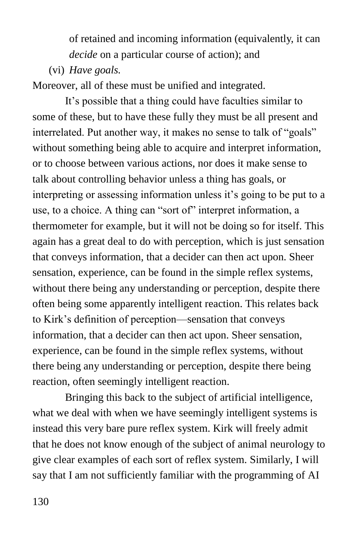of retained and incoming information (equivalently, it can *decide* on a particular course of action); and

(vi) *Have goals.*

Moreover, all of these must be unified and integrated.

It's possible that a thing could have faculties similar to some of these, but to have these fully they must be all present and interrelated. Put another way, it makes no sense to talk of "goals" without something being able to acquire and interpret information, or to choose between various actions, nor does it make sense to talk about controlling behavior unless a thing has goals, or interpreting or assessing information unless it's going to be put to a use, to a choice. A thing can "sort of" interpret information, a thermometer for example, but it will not be doing so for itself. This again has a great deal to do with perception, which is just sensation that conveys information, that a decider can then act upon. Sheer sensation, experience, can be found in the simple reflex systems, without there being any understanding or perception, despite there often being some apparently intelligent reaction. This relates back to Kirk's definition of perception—sensation that conveys information, that a decider can then act upon. Sheer sensation, experience, can be found in the simple reflex systems, without there being any understanding or perception, despite there being reaction, often seemingly intelligent reaction.

Bringing this back to the subject of artificial intelligence, what we deal with when we have seemingly intelligent systems is instead this very bare pure reflex system. Kirk will freely admit that he does not know enough of the subject of animal neurology to give clear examples of each sort of reflex system. Similarly, I will say that I am not sufficiently familiar with the programming of AI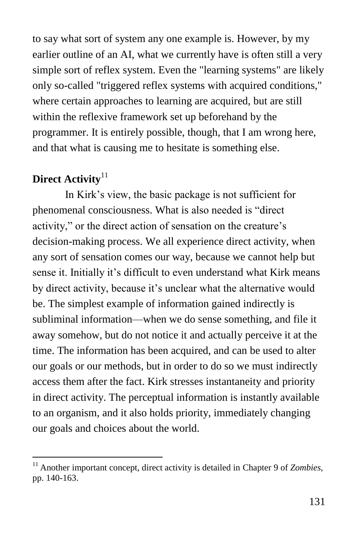to say what sort of system any one example is. However, by my earlier outline of an AI, what we currently have is often still a very simple sort of reflex system. Even the "learning systems" are likely only so-called "triggered reflex systems with acquired conditions," where certain approaches to learning are acquired, but are still within the reflexive framework set up beforehand by the programmer. It is entirely possible, though, that I am wrong here, and that what is causing me to hesitate is something else.

# **Direct Activity**<sup>11</sup>

 $\overline{a}$ 

In Kirk's view, the basic package is not sufficient for phenomenal consciousness. What is also needed is "direct" activity," or the direct action of sensation on the creature's decision-making process. We all experience direct activity, when any sort of sensation comes our way, because we cannot help but sense it. Initially it's difficult to even understand what Kirk means by direct activity, because it's unclear what the alternative would be. The simplest example of information gained indirectly is subliminal information—when we do sense something, and file it away somehow, but do not notice it and actually perceive it at the time. The information has been acquired, and can be used to alter our goals or our methods, but in order to do so we must indirectly access them after the fact. Kirk stresses instantaneity and priority in direct activity. The perceptual information is instantly available to an organism, and it also holds priority, immediately changing our goals and choices about the world.

<sup>&</sup>lt;sup>11</sup> Another important concept, direct activity is detailed in Chapter 9 of *Zombies*, pp. 140-163.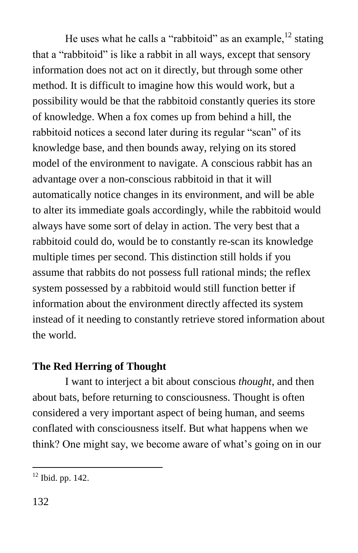He uses what he calls a "rabbitoid" as an example,  $^{12}$  stating that a "rabbitoid" is like a rabbit in all ways, except that sensory information does not act on it directly, but through some other method. It is difficult to imagine how this would work, but a possibility would be that the rabbitoid constantly queries its store of knowledge. When a fox comes up from behind a hill, the rabbitoid notices a second later during its regular "scan" of its knowledge base, and then bounds away, relying on its stored model of the environment to navigate. A conscious rabbit has an advantage over a non-conscious rabbitoid in that it will automatically notice changes in its environment, and will be able to alter its immediate goals accordingly, while the rabbitoid would always have some sort of delay in action. The very best that a rabbitoid could do, would be to constantly re-scan its knowledge multiple times per second. This distinction still holds if you assume that rabbits do not possess full rational minds; the reflex system possessed by a rabbitoid would still function better if information about the environment directly affected its system instead of it needing to constantly retrieve stored information about the world.

## **The Red Herring of Thought**

I want to interject a bit about conscious *thought*, and then about bats, before returning to consciousness. Thought is often considered a very important aspect of being human, and seems conflated with consciousness itself. But what happens when we think? One might say, we become aware of what's going on in our

 $12$  Ibid. pp. 142.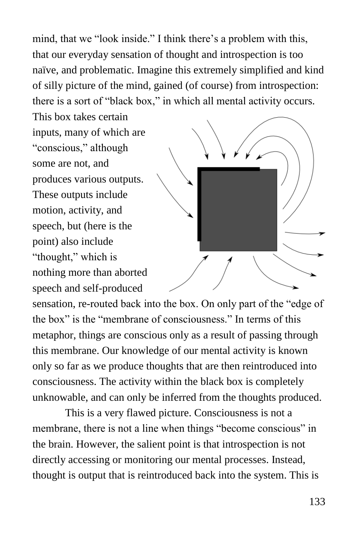mind, that we "look inside." I think there's a problem with this, that our everyday sensation of thought and introspection is too naïve, and problematic. Imagine this extremely simplified and kind of silly picture of the mind, gained (of course) from introspection: there is a sort of "black box," in which all mental activity occurs.

This box takes certain inputs, many of which are "conscious," although some are not, and produces various outputs. These outputs include motion, activity, and speech, but (here is the point) also include "thought," which is nothing more than aborted speech and self-produced



sensation, re-routed back into the box. On only part of the "edge of the box" is the "membrane of consciousness." In terms of this metaphor, things are conscious only as a result of passing through this membrane. Our knowledge of our mental activity is known only so far as we produce thoughts that are then reintroduced into consciousness. The activity within the black box is completely unknowable, and can only be inferred from the thoughts produced.

This is a very flawed picture. Consciousness is not a membrane, there is not a line when things "become conscious" in the brain. However, the salient point is that introspection is not directly accessing or monitoring our mental processes. Instead, thought is output that is reintroduced back into the system. This is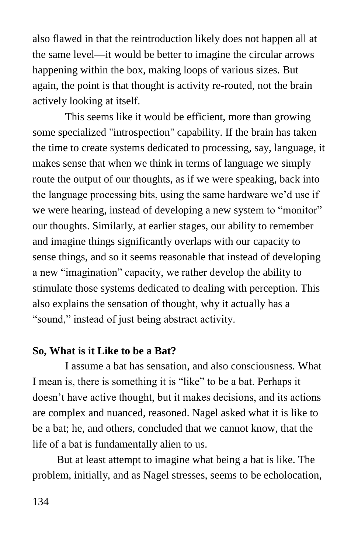also flawed in that the reintroduction likely does not happen all at the same level—it would be better to imagine the circular arrows happening within the box, making loops of various sizes. But again, the point is that thought is activity re-routed, not the brain actively looking at itself.

This seems like it would be efficient, more than growing some specialized "introspection" capability. If the brain has taken the time to create systems dedicated to processing, say, language, it makes sense that when we think in terms of language we simply route the output of our thoughts, as if we were speaking, back into the language processing bits, using the same hardware we'd use if we were hearing, instead of developing a new system to "monitor" our thoughts. Similarly, at earlier stages, our ability to remember and imagine things significantly overlaps with our capacity to sense things, and so it seems reasonable that instead of developing a new "imagination" capacity, we rather develop the ability to stimulate those systems dedicated to dealing with perception. This also explains the sensation of thought, why it actually has a "sound," instead of just being abstract activity.

### **So, What is it Like to be a Bat?**

I assume a bat has sensation, and also consciousness. What I mean is, there is something it is "like" to be a bat. Perhaps it doesn't have active thought, but it makes decisions, and its actions are complex and nuanced, reasoned. Nagel asked what it is like to be a bat; he, and others, concluded that we cannot know, that the life of a bat is fundamentally alien to us.

But at least attempt to imagine what being a bat is like. The problem, initially, and as Nagel stresses, seems to be echolocation,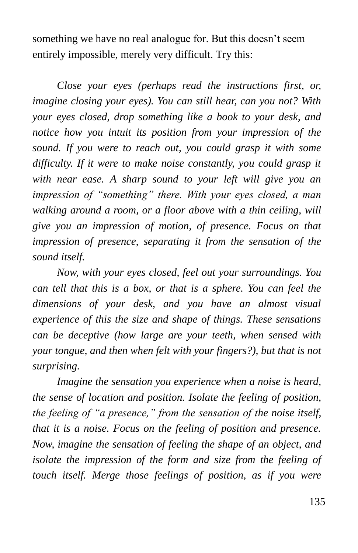something we have no real analogue for. But this doesn't seem entirely impossible, merely very difficult. Try this:

*Close your eyes (perhaps read the instructions first, or, imagine closing your eyes). You can still hear, can you not? With your eyes closed, drop something like a book to your desk, and notice how you intuit its position from your impression of the sound. If you were to reach out, you could grasp it with some difficulty. If it were to make noise constantly, you could grasp it with near ease. A sharp sound to your left will give you an impression of "something" there. With your eyes closed, a man walking around a room, or a floor above with a thin ceiling, will give you an impression of motion, of presence. Focus on that impression of presence, separating it from the sensation of the sound itself.* 

*Now, with your eyes closed, feel out your surroundings. You can tell that this is a box, or that is a sphere. You can feel the dimensions of your desk, and you have an almost visual experience of this the size and shape of things. These sensations can be deceptive (how large are your teeth, when sensed with your tongue, and then when felt with your fingers?), but that is not surprising.* 

*Imagine the sensation you experience when a noise is heard, the sense of location and position. Isolate the feeling of position, the feeling of "a presence," from the sensation of the noise itself, that it is a noise. Focus on the feeling of position and presence. Now, imagine the sensation of feeling the shape of an object, and isolate the impression of the form and size from the feeling of touch itself. Merge those feelings of position, as if you were*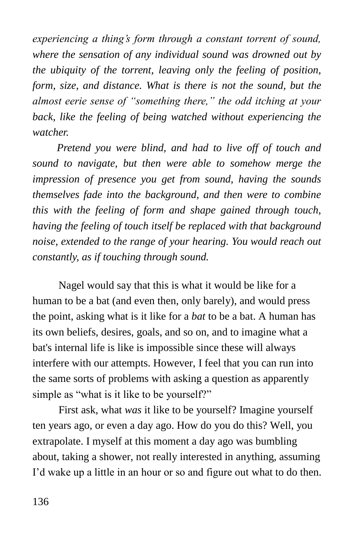*experiencing a thing's form through a constant torrent of sound, where the sensation of any individual sound was drowned out by the ubiquity of the torrent, leaving only the feeling of position, form, size, and distance. What is there is not the sound, but the almost eerie sense of "something there," the odd itching at your back, like the feeling of being watched without experiencing the watcher.* 

*Pretend you were blind, and had to live off of touch and sound to navigate, but then were able to somehow merge the impression of presence you get from sound, having the sounds themselves fade into the background, and then were to combine this with the feeling of form and shape gained through touch, having the feeling of touch itself be replaced with that background noise, extended to the range of your hearing. You would reach out constantly, as if touching through sound.* 

Nagel would say that this is what it would be like for a human to be a bat (and even then, only barely), and would press the point, asking what is it like for a *bat* to be a bat. A human has its own beliefs, desires, goals, and so on, and to imagine what a bat's internal life is like is impossible since these will always interfere with our attempts. However, I feel that you can run into the same sorts of problems with asking a question as apparently simple as "what is it like to be yourself?"

First ask, what *was* it like to be yourself? Imagine yourself ten years ago, or even a day ago. How do you do this? Well, you extrapolate. I myself at this moment a day ago was bumbling about, taking a shower, not really interested in anything, assuming I'd wake up a little in an hour or so and figure out what to do then.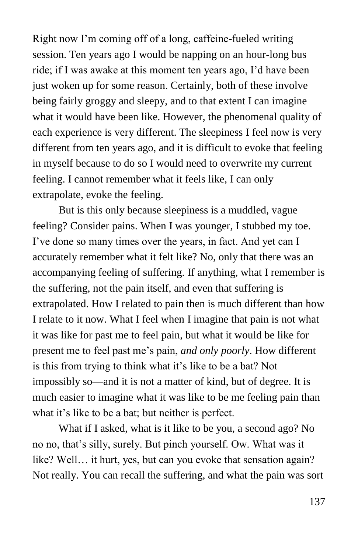Right now I'm coming off of a long, caffeine-fueled writing session. Ten years ago I would be napping on an hour-long bus ride; if I was awake at this moment ten years ago, I'd have been just woken up for some reason. Certainly, both of these involve being fairly groggy and sleepy, and to that extent I can imagine what it would have been like. However, the phenomenal quality of each experience is very different. The sleepiness I feel now is very different from ten years ago, and it is difficult to evoke that feeling in myself because to do so I would need to overwrite my current feeling. I cannot remember what it feels like, I can only extrapolate, evoke the feeling.

But is this only because sleepiness is a muddled, vague feeling? Consider pains. When I was younger, I stubbed my toe. I've done so many times over the years, in fact. And yet can I accurately remember what it felt like? No, only that there was an accompanying feeling of suffering. If anything, what I remember is the suffering, not the pain itself, and even that suffering is extrapolated. How I related to pain then is much different than how I relate to it now. What I feel when I imagine that pain is not what it was like for past me to feel pain, but what it would be like for present me to feel past me's pain, *and only poorly*. How different is this from trying to think what it's like to be a bat? Not impossibly so—and it is not a matter of kind, but of degree. It is much easier to imagine what it was like to be me feeling pain than what it's like to be a bat; but neither is perfect.

What if I asked, what is it like to be you, a second ago? No no no, that's silly, surely. But pinch yourself. Ow. What was it like? Well... it hurt, yes, but can you evoke that sensation again? Not really. You can recall the suffering, and what the pain was sort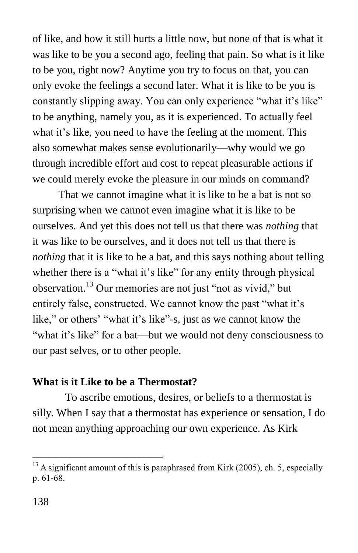of like, and how it still hurts a little now, but none of that is what it was like to be you a second ago, feeling that pain. So what is it like to be you, right now? Anytime you try to focus on that, you can only evoke the feelings a second later. What it is like to be you is constantly slipping away. You can only experience "what it's like" to be anything, namely you, as it is experienced. To actually feel what it's like, you need to have the feeling at the moment. This also somewhat makes sense evolutionarily—why would we go through incredible effort and cost to repeat pleasurable actions if we could merely evoke the pleasure in our minds on command?

That we cannot imagine what it is like to be a bat is not so surprising when we cannot even imagine what it is like to be ourselves. And yet this does not tell us that there was *nothing* that it was like to be ourselves, and it does not tell us that there is *nothing* that it is like to be a bat, and this says nothing about telling whether there is a "what it's like" for any entity through physical observation.<sup>13</sup> Our memories are not just "not as vivid," but entirely false, constructed. We cannot know the past "what it's like," or others' "what it's like"-s, just as we cannot know the "what it's like" for a bat—but we would not deny consciousness to our past selves, or to other people.

### **What is it Like to be a Thermostat?**

To ascribe emotions, desires, or beliefs to a thermostat is silly. When I say that a thermostat has experience or sensation, I do not mean anything approaching our own experience. As Kirk

 $^{13}$  A significant amount of this is paraphrased from Kirk (2005), ch. 5, especially p. 61-68.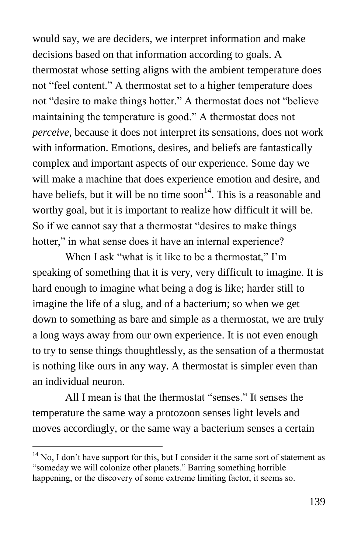would say, we are deciders, we interpret information and make decisions based on that information according to goals. A thermostat whose setting aligns with the ambient temperature does not "feel content." A thermostat set to a higher temperature does not "desire to make things hotter." A thermostat does not "believe maintaining the temperature is good." A thermostat does not *perceive*, because it does not interpret its sensations, does not work with information. Emotions, desires, and beliefs are fantastically complex and important aspects of our experience. Some day we will make a machine that does experience emotion and desire, and have beliefs, but it will be no time soon<sup>14</sup>. This is a reasonable and worthy goal, but it is important to realize how difficult it will be. So if we cannot say that a thermostat "desires to make things" hotter," in what sense does it have an internal experience?

When I ask "what is it like to be a thermostat," I'm speaking of something that it is very, very difficult to imagine. It is hard enough to imagine what being a dog is like; harder still to imagine the life of a slug, and of a bacterium; so when we get down to something as bare and simple as a thermostat, we are truly a long ways away from our own experience. It is not even enough to try to sense things thoughtlessly, as the sensation of a thermostat is nothing like ours in any way. A thermostat is simpler even than an individual neuron.

All I mean is that the thermostat "senses." It senses the temperature the same way a protozoon senses light levels and moves accordingly, or the same way a bacterium senses a certain

 $14$  No, I don't have support for this, but I consider it the same sort of statement as "someday we will colonize other planets." Barring something horrible happening, or the discovery of some extreme limiting factor, it seems so.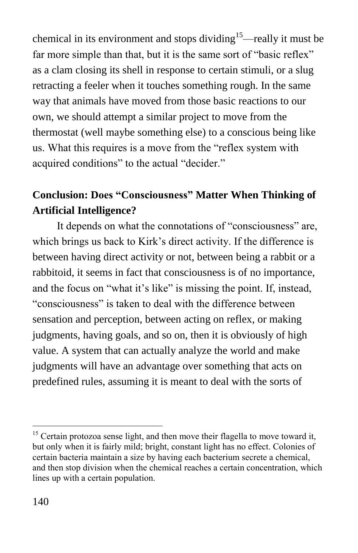chemical in its environment and stops dividing<sup>15</sup>—really it must be far more simple than that, but it is the same sort of "basic reflex" as a clam closing its shell in response to certain stimuli, or a slug retracting a feeler when it touches something rough. In the same way that animals have moved from those basic reactions to our own, we should attempt a similar project to move from the thermostat (well maybe something else) to a conscious being like us. What this requires is a move from the "reflex system with acquired conditions" to the actual "decider."

# **Conclusion: Does "Consciousness" Matter When Thinking of Artificial Intelligence?**

It depends on what the connotations of "consciousness" are, which brings us back to Kirk's direct activity. If the difference is between having direct activity or not, between being a rabbit or a rabbitoid, it seems in fact that consciousness is of no importance, and the focus on "what it's like" is missing the point. If, instead, "consciousness" is taken to deal with the difference between sensation and perception, between acting on reflex, or making judgments, having goals, and so on, then it is obviously of high value. A system that can actually analyze the world and make judgments will have an advantage over something that acts on predefined rules, assuming it is meant to deal with the sorts of

 $15$  Certain protozoa sense light, and then move their flagella to move toward it, but only when it is fairly mild; bright, constant light has no effect. Colonies of certain bacteria maintain a size by having each bacterium secrete a chemical, and then stop division when the chemical reaches a certain concentration, which lines up with a certain population.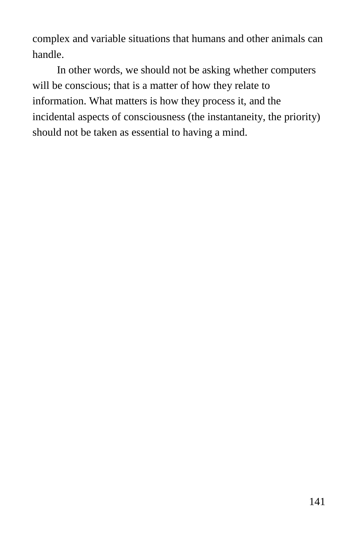complex and variable situations that humans and other animals can handle.

In other words, we should not be asking whether computers will be conscious; that is a matter of how they relate to information. What matters is how they process it, and the incidental aspects of consciousness (the instantaneity, the priority) should not be taken as essential to having a mind.